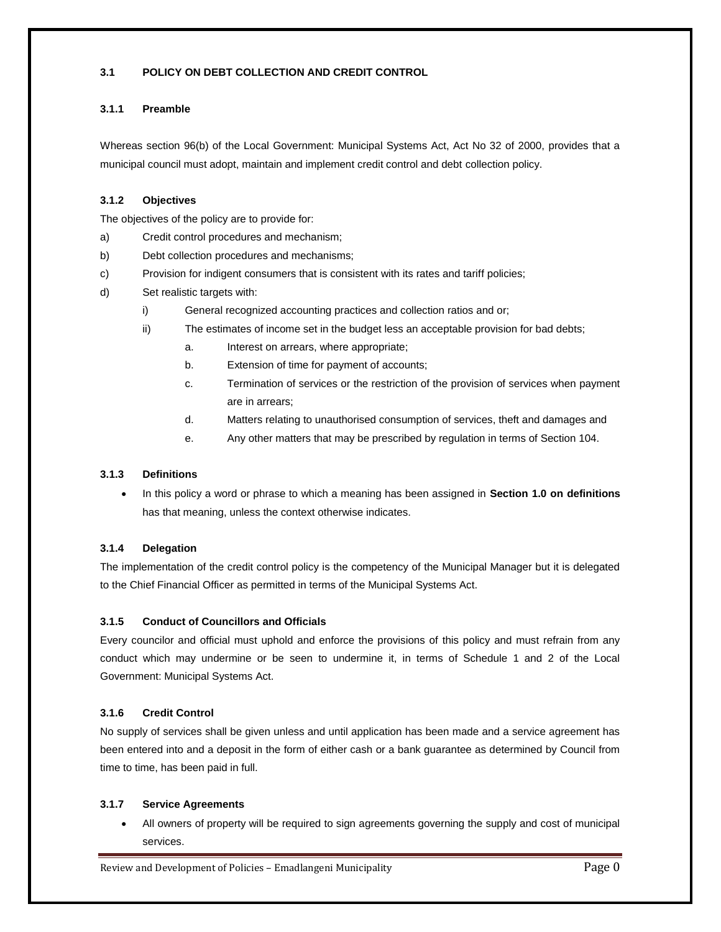# **3.1 POLICY ON DEBT COLLECTION AND CREDIT CONTROL**

## **3.1.1 Preamble**

Whereas section 96(b) of the Local Government: Municipal Systems Act, Act No 32 of 2000, provides that a municipal council must adopt, maintain and implement credit control and debt collection policy.

# **3.1.2 Objectives**

The objectives of the policy are to provide for:

- a) Credit control procedures and mechanism;
- b) Debt collection procedures and mechanisms;
- c) Provision for indigent consumers that is consistent with its rates and tariff policies;
- d) Set realistic targets with:
	- i) General recognized accounting practices and collection ratios and or;
	- ii) The estimates of income set in the budget less an acceptable provision for bad debts;
		- a. Interest on arrears, where appropriate;
		- b. Extension of time for payment of accounts;
		- c. Termination of services or the restriction of the provision of services when payment are in arrears;
		- d. Matters relating to unauthorised consumption of services, theft and damages and
		- e. Any other matters that may be prescribed by regulation in terms of Section 104.

# **3.1.3 Definitions**

 In this policy a word or phrase to which a meaning has been assigned in **Section 1.0 on definitions** has that meaning, unless the context otherwise indicates.

# **3.1.4 Delegation**

The implementation of the credit control policy is the competency of the Municipal Manager but it is delegated to the Chief Financial Officer as permitted in terms of the Municipal Systems Act.

# **3.1.5 Conduct of Councillors and Officials**

Every councilor and official must uphold and enforce the provisions of this policy and must refrain from any conduct which may undermine or be seen to undermine it, in terms of Schedule 1 and 2 of the Local Government: Municipal Systems Act.

# **3.1.6 Credit Control**

No supply of services shall be given unless and until application has been made and a service agreement has been entered into and a deposit in the form of either cash or a bank guarantee as determined by Council from time to time, has been paid in full.

### **3.1.7 Service Agreements**

 All owners of property will be required to sign agreements governing the supply and cost of municipal services.

Review and Development of Policies - Emadlangeni Municipality **Page 0** Page 0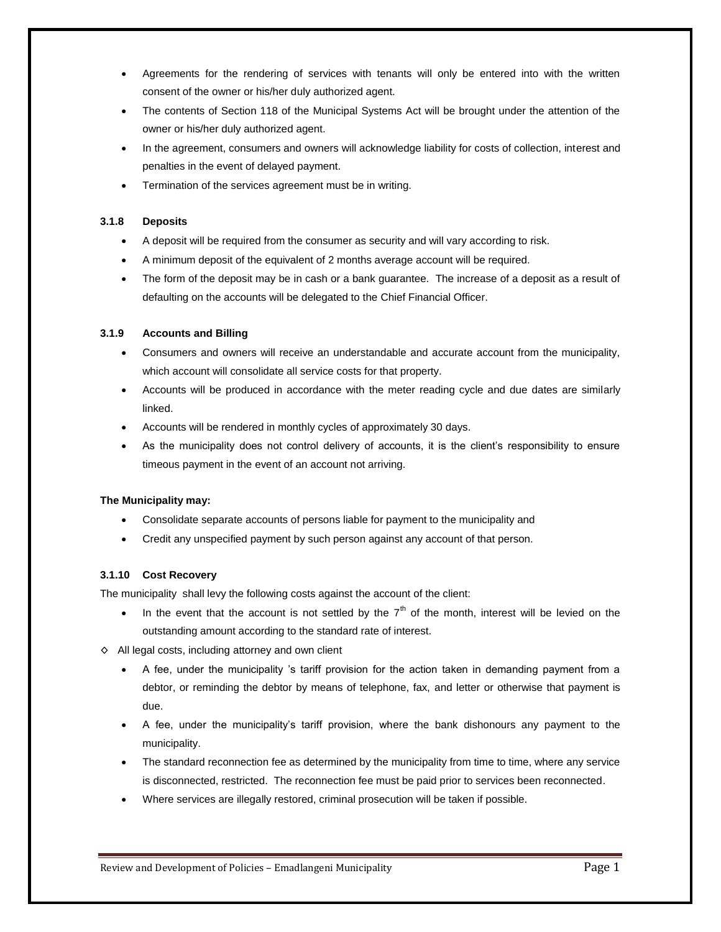- Agreements for the rendering of services with tenants will only be entered into with the written consent of the owner or his/her duly authorized agent.
- The contents of Section 118 of the Municipal Systems Act will be brought under the attention of the owner or his/her duly authorized agent.
- In the agreement, consumers and owners will acknowledge liability for costs of collection, interest and penalties in the event of delayed payment.
- Termination of the services agreement must be in writing.

### **3.1.8 Deposits**

- A deposit will be required from the consumer as security and will vary according to risk.
- A minimum deposit of the equivalent of 2 months average account will be required.
- The form of the deposit may be in cash or a bank guarantee. The increase of a deposit as a result of defaulting on the accounts will be delegated to the Chief Financial Officer.

### **3.1.9 Accounts and Billing**

- Consumers and owners will receive an understandable and accurate account from the municipality, which account will consolidate all service costs for that property.
- Accounts will be produced in accordance with the meter reading cycle and due dates are similarly linked.
- Accounts will be rendered in monthly cycles of approximately 30 days.
- As the municipality does not control delivery of accounts, it is the client's responsibility to ensure timeous payment in the event of an account not arriving.

# **The Municipality may:**

- Consolidate separate accounts of persons liable for payment to the municipality and
- Credit any unspecified payment by such person against any account of that person.

# **3.1.10 Cost Recovery**

The municipality shall levy the following costs against the account of the client:

- In the event that the account is not settled by the  $7<sup>th</sup>$  of the month, interest will be levied on the outstanding amount according to the standard rate of interest.
- ◊ All legal costs, including attorney and own client
	- A fee, under the municipality 's tariff provision for the action taken in demanding payment from a debtor, or reminding the debtor by means of telephone, fax, and letter or otherwise that payment is due.
	- A fee, under the municipality's tariff provision, where the bank dishonours any payment to the municipality.
	- The standard reconnection fee as determined by the municipality from time to time, where any service is disconnected, restricted. The reconnection fee must be paid prior to services been reconnected.
	- Where services are illegally restored, criminal prosecution will be taken if possible.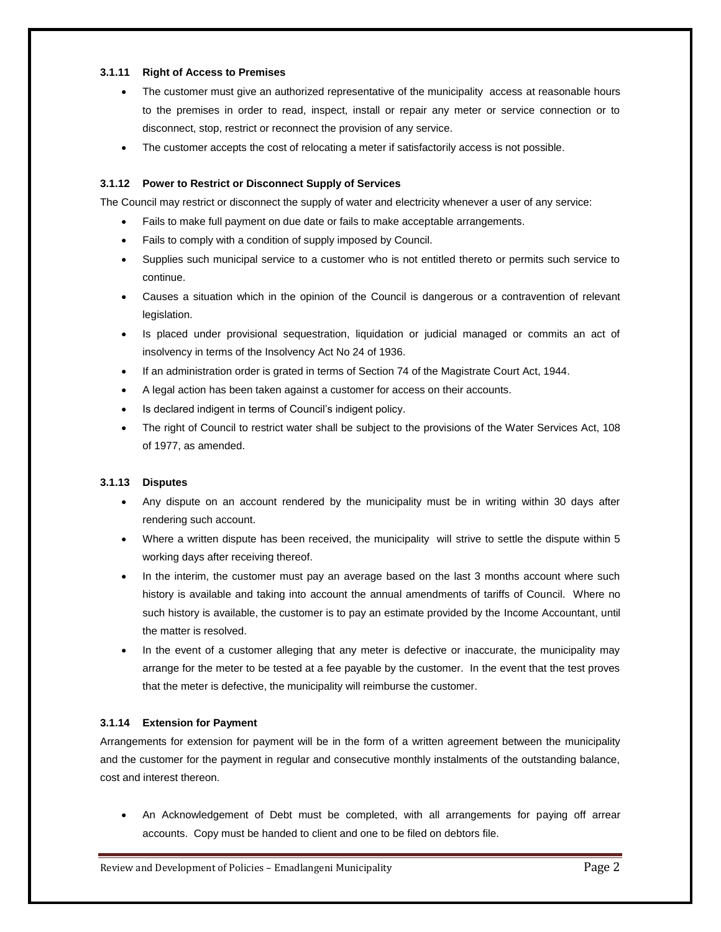### **3.1.11 Right of Access to Premises**

- The customer must give an authorized representative of the municipality access at reasonable hours to the premises in order to read, inspect, install or repair any meter or service connection or to disconnect, stop, restrict or reconnect the provision of any service.
- The customer accepts the cost of relocating a meter if satisfactorily access is not possible.

### **3.1.12 Power to Restrict or Disconnect Supply of Services**

The Council may restrict or disconnect the supply of water and electricity whenever a user of any service:

- Fails to make full payment on due date or fails to make acceptable arrangements.
- Fails to comply with a condition of supply imposed by Council.
- Supplies such municipal service to a customer who is not entitled thereto or permits such service to continue.
- Causes a situation which in the opinion of the Council is dangerous or a contravention of relevant legislation.
- Is placed under provisional sequestration, liquidation or judicial managed or commits an act of insolvency in terms of the Insolvency Act No 24 of 1936.
- If an administration order is grated in terms of Section 74 of the Magistrate Court Act, 1944.
- A legal action has been taken against a customer for access on their accounts.
- Is declared indigent in terms of Council's indigent policy.
- The right of Council to restrict water shall be subject to the provisions of the Water Services Act, 108 of 1977, as amended.

# **3.1.13 Disputes**

- Any dispute on an account rendered by the municipality must be in writing within 30 days after rendering such account.
- Where a written dispute has been received, the municipality will strive to settle the dispute within 5 working days after receiving thereof.
- In the interim, the customer must pay an average based on the last 3 months account where such history is available and taking into account the annual amendments of tariffs of Council. Where no such history is available, the customer is to pay an estimate provided by the Income Accountant, until the matter is resolved.
- In the event of a customer alleging that any meter is defective or inaccurate, the municipality may arrange for the meter to be tested at a fee payable by the customer. In the event that the test proves that the meter is defective, the municipality will reimburse the customer.

### **3.1.14 Extension for Payment**

Arrangements for extension for payment will be in the form of a written agreement between the municipality and the customer for the payment in regular and consecutive monthly instalments of the outstanding balance, cost and interest thereon.

 An Acknowledgement of Debt must be completed, with all arrangements for paying off arrear accounts. Copy must be handed to client and one to be filed on debtors file.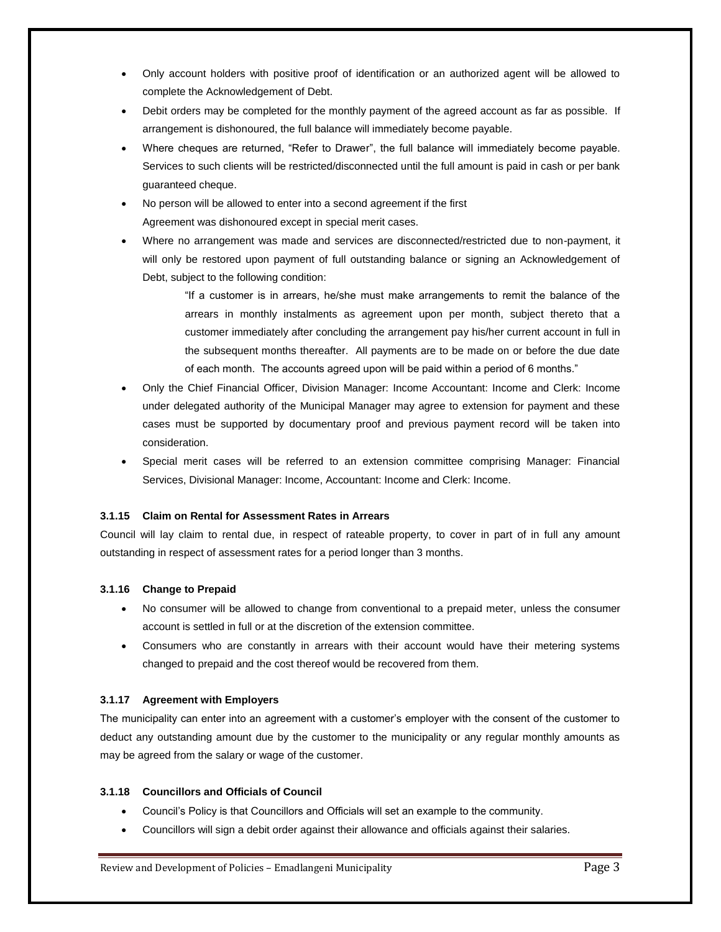- Only account holders with positive proof of identification or an authorized agent will be allowed to complete the Acknowledgement of Debt.
- Debit orders may be completed for the monthly payment of the agreed account as far as possible. If arrangement is dishonoured, the full balance will immediately become payable.
- Where cheques are returned, "Refer to Drawer", the full balance will immediately become payable. Services to such clients will be restricted/disconnected until the full amount is paid in cash or per bank guaranteed cheque.
- No person will be allowed to enter into a second agreement if the first Agreement was dishonoured except in special merit cases.
- Where no arrangement was made and services are disconnected/restricted due to non-payment, it will only be restored upon payment of full outstanding balance or signing an Acknowledgement of Debt, subject to the following condition:

"If a customer is in arrears, he/she must make arrangements to remit the balance of the arrears in monthly instalments as agreement upon per month, subject thereto that a customer immediately after concluding the arrangement pay his/her current account in full in the subsequent months thereafter. All payments are to be made on or before the due date of each month. The accounts agreed upon will be paid within a period of 6 months."

- Only the Chief Financial Officer, Division Manager: Income Accountant: Income and Clerk: Income under delegated authority of the Municipal Manager may agree to extension for payment and these cases must be supported by documentary proof and previous payment record will be taken into consideration.
- Special merit cases will be referred to an extension committee comprising Manager: Financial Services, Divisional Manager: Income, Accountant: Income and Clerk: Income.

# **3.1.15 Claim on Rental for Assessment Rates in Arrears**

Council will lay claim to rental due, in respect of rateable property, to cover in part of in full any amount outstanding in respect of assessment rates for a period longer than 3 months.

### **3.1.16 Change to Prepaid**

- No consumer will be allowed to change from conventional to a prepaid meter, unless the consumer account is settled in full or at the discretion of the extension committee.
- Consumers who are constantly in arrears with their account would have their metering systems changed to prepaid and the cost thereof would be recovered from them.

### **3.1.17 Agreement with Employers**

The municipality can enter into an agreement with a customer's employer with the consent of the customer to deduct any outstanding amount due by the customer to the municipality or any regular monthly amounts as may be agreed from the salary or wage of the customer.

### **3.1.18 Councillors and Officials of Council**

- Council's Policy is that Councillors and Officials will set an example to the community.
- Councillors will sign a debit order against their allowance and officials against their salaries.